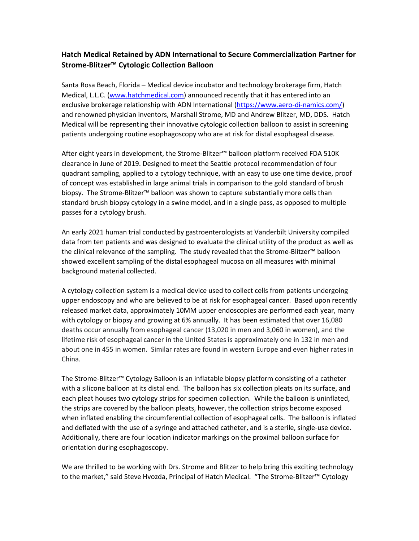## **Hatch Medical Retained by ADN International to Secure Commercialization Partner for Strome-Blitzer™ Cytologic Collection Balloon**

Santa Rosa Beach, Florida – Medical device incubator and technology brokerage firm, Hatch Medical, L.L.C. [\(www.hatchmedical.com\)](http://www.hatchmedical.com/) announced recently that it has entered into an exclusive brokerage relationship with ADN International [\(https://www.aero-di-namics.com/\)](https://www.aero-di-namics.com/) and renowned physician inventors, Marshall Strome, MD and Andrew Blitzer, MD, DDS. Hatch Medical will be representing their innovative cytologic collection balloon to assist in screening patients undergoing routine esophagoscopy who are at risk for distal esophageal disease.

After eight years in development, the Strome-Blitzer™ balloon platform received FDA 510K clearance in June of 2019. Designed to meet the Seattle protocol recommendation of four quadrant sampling, applied to a cytology technique, with an easy to use one time device, proof of concept was established in large animal trials in comparison to the gold standard of brush biopsy. The Strome-Blitzer™ balloon was shown to capture substantially more cells than standard brush biopsy cytology in a swine model, and in a single pass, as opposed to multiple passes for a cytology brush.

An early 2021 human trial conducted by gastroenterologists at Vanderbilt University compiled data from ten patients and was designed to evaluate the clinical utility of the product as well as the clinical relevance of the sampling. The study revealed that the Strome-Blitzer™ balloon showed excellent sampling of the distal esophageal mucosa on all measures with minimal background material collected.

A cytology collection system is a medical device used to collect cells from patients undergoing upper endoscopy and who are believed to be at risk for esophageal cancer. Based upon recently released market data, approximately 10MM upper endoscopies are performed each year, many with cytology or biopsy and growing at 6% annually. It has been estimated that over 16,080 deaths occur annually from esophageal cancer (13,020 in men and 3,060 in women), and the lifetime risk of esophageal cancer in the United States is approximately one in 132 in men and about one in 455 in women. Similar rates are found in western Europe and even higher rates in China.

The Strome-Blitzer™ Cytology Balloon is an inflatable biopsy platform consisting of a catheter with a silicone balloon at its distal end. The balloon has six collection pleats on its surface, and each pleat houses two cytology strips for specimen collection. While the balloon is uninflated, the strips are covered by the balloon pleats, however, the collection strips become exposed when inflated enabling the circumferential collection of esophageal cells. The balloon is inflated and deflated with the use of a syringe and attached catheter, and is a sterile, single-use device. Additionally, there are four location indicator markings on the proximal balloon surface for orientation during esophagoscopy.

We are thrilled to be working with Drs. Strome and Blitzer to help bring this exciting technology to the market," said Steve Hvozda, Principal of Hatch Medical. "The Strome-Blitzer™ Cytology